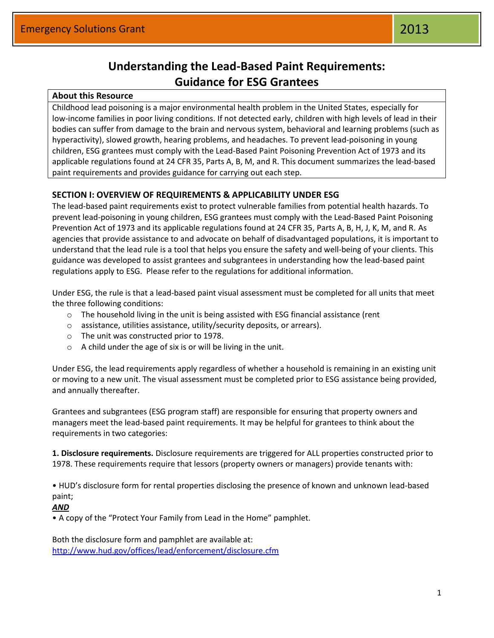# **Understanding the Lead‐Based Paint Requirements: Guidance for ESG Grantees**

### **About this Resource**

Childhood lead poisoning is a major environmental health problem in the United States, especially for low-income families in poor living conditions. If not detected early, children with high levels of lead in their bodies can suffer from damage to the brain and nervous system, behavioral and learning problems (such as hyperactivity), slowed growth, hearing problems, and headaches. To prevent lead‐poisoning in young children, ESG grantees must comply with the Lead‐Based Paint Poisoning Prevention Act of 1973 and its applicable regulations found at 24 CFR 35, Parts A, B, M, and R. This document summarizes the lead‐based paint requirements and provides guidance for carrying out each step.

# **SECTION I: OVERVIEW OF REQUIREMENTS & APPLICABILITY UNDER ESG**

The lead‐based paint requirements exist to protect vulnerable families from potential health hazards. To prevent lead‐poisoning in young children, ESG grantees must comply with the Lead‐Based Paint Poisoning Prevention Act of 1973 and its applicable regulations found at 24 CFR 35, Parts A, B, H, J, K, M, and R. As agencies that provide assistance to and advocate on behalf of disadvantaged populations, it is important to understand that the lead rule is a tool that helps you ensure the safety and well‐being of your clients. This guidance was developed to assist grantees and subgrantees in understanding how the lead‐based paint regulations apply to ESG. Please refer to the regulations for additional information.

Under ESG, the rule is that a lead‐based paint visual assessment must be completed for all units that meet the three following conditions:

- o The household living in the unit is being assisted with ESG financial assistance (rent
- o assistance, utilities assistance, utility/security deposits, or arrears).
- o The unit was constructed prior to 1978.
- $\circ$  A child under the age of six is or will be living in the unit.

Under ESG, the lead requirements apply regardless of whether a household is remaining in an existing unit or moving to a new unit. The visual assessment must be completed prior to ESG assistance being provided, and annually thereafter.

Grantees and subgrantees (ESG program staff) are responsible for ensuring that property owners and managers meet the lead‐based paint requirements. It may be helpful for grantees to think about the requirements in two categories:

**1. Disclosure requirements.** Disclosure requirements are triggered for ALL properties constructed prior to 1978. These requirements require that lessors (property owners or managers) provide tenants with:

• HUD's disclosure form for rental properties disclosing the presence of known and unknown lead‐based paint;

#### *AND*

• A copy of the "Protect Your Family from Lead in the Home" pamphlet.

Both the disclosure form and pamphlet are available at: <http://www.hud.gov/offices/lead/enforcement/disclosure.cfm>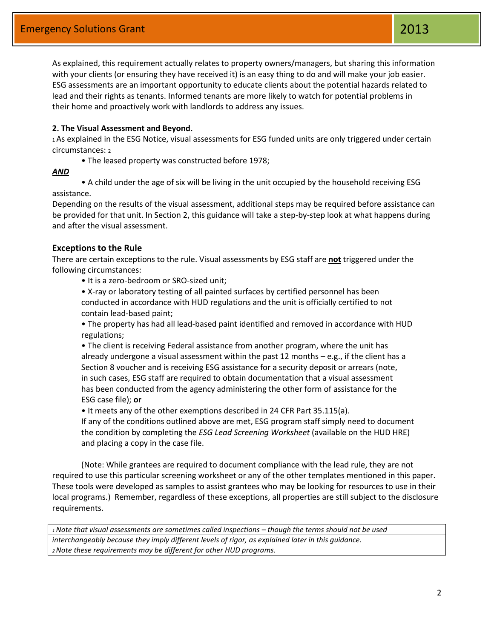As explained, this requirement actually relates to property owners/managers, but sharing this information with your clients (or ensuring they have received it) is an easy thing to do and will make your job easier. ESG assessments are an important opportunity to educate clients about the potential hazards related to lead and their rights as tenants. Informed tenants are more likely to watch for potential problems in their home and proactively work with landlords to address any issues.

#### **2. The Visual Assessment and Beyond.**

<sup>1</sup>As explained in the ESG Notice, visual assessments for ESG funded units are only triggered under certain circumstances: <sup>2</sup>

• The leased property was constructed before 1978;

#### *AND*

• A child under the age of six will be living in the unit occupied by the household receiving ESG assistance.

Depending on the results of the visual assessment, additional steps may be required before assistance can be provided for that unit. In Section 2, this guidance will take a step-by-step look at what happens during and after the visual assessment.

#### **Exceptions to the Rule**

There are certain exceptions to the rule. Visual assessments by ESG staff are **not** triggered under the following circumstances:

• It is a zero‐bedroom or SRO‐sized unit;

• X‐ray or laboratory testing of all painted surfaces by certified personnel has been conducted in accordance with HUD regulations and the unit is officially certified to not contain lead‐based paint;

• The property has had all lead‐based paint identified and removed in accordance with HUD regulations;

• The client is receiving Federal assistance from another program, where the unit has already undergone a visual assessment within the past 12 months – e.g., if the client has a Section 8 voucher and is receiving ESG assistance for a security deposit or arrears (note, in such cases, ESG staff are required to obtain documentation that a visual assessment has been conducted from the agency administering the other form of assistance for the ESG case file); **or**

• It meets any of the other exemptions described in 24 CFR Part 35.115(a).

If any of the conditions outlined above are met, ESG program staff simply need to document the condition by completing the *ESG Lead Screening Worksheet* (available on the HUD HRE) and placing a copy in the case file.

(Note: While grantees are required to document compliance with the lead rule, they are not required to use this particular screening worksheet or any of the other templates mentioned in this paper. These tools were developed as samples to assist grantees who may be looking for resources to use in their local programs.) Remember, regardless of these exceptions, all properties are still subject to the disclosure requirements.

*<sup>1</sup>Note that visual assessments are sometimes called inspections – though the terms should not be used interchangeably because they imply different levels of rigor, as explained later in this guidance. 2 Note these requirements may be different for other HUD programs.*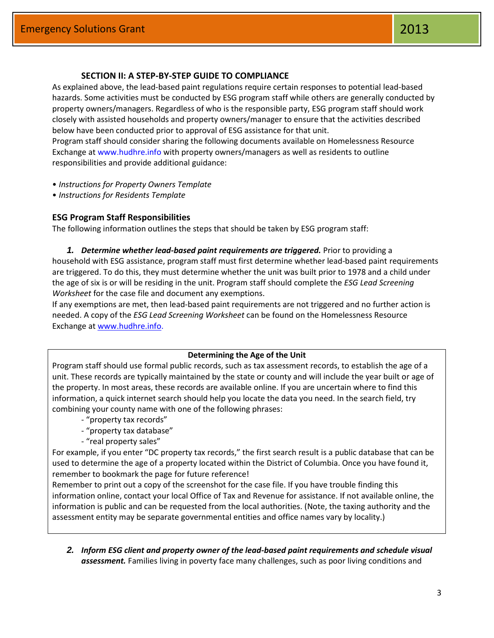#### **SECTION II: A STEP‐BY‐STEP GUIDE TO COMPLIANCE**

As explained above, the lead‐based paint regulations require certain responses to potential lead‐based hazards. Some activities must be conducted by ESG program staff while others are generally conducted by property owners/managers. Regardless of who is the responsible party, ESG program staff should work closely with assisted households and property owners/manager to ensure that the activities described below have been conducted prior to approval of ESG assistance for that unit. Program staff should consider sharing the following documents available on Homelessness Resource Exchange at www.hudhre.info with property owners/managers as well as residents to outline responsibilities and provide additional guidance:

- *Instructions for Property Owners Template*
- *Instructions for Residents Template*

#### **ESG Program Staff Responsibilities**

The following information outlines the steps that should be taken by ESG program staff:

*1. Determine whether lead‐based paint requirements are triggered.* Prior to providing a household with ESG assistance, program staff must first determine whether lead‐based paint requirements are triggered. To do this, they must determine whether the unit was built prior to 1978 and a child under the age of six is or will be residing in the unit. Program staff should complete the *ESG Lead Screening Worksheet* for the case file and document any exemptions.

If any exemptions are met, then lead‐based paint requirements are not triggered and no further action is needed. A copy of the *ESG Lead Screening Worksheet* can be found on the Homelessness Resource Exchange at [www.hudhre.info.](http://www.hudhre.info/)

#### **Determining the Age of the Unit**

Program staff should use formal public records, such as tax assessment records, to establish the age of a unit. These records are typically maintained by the state or county and will include the year built or age of the property. In most areas, these records are available online. If you are uncertain where to find this information, a quick internet search should help you locate the data you need. In the search field, try combining your county name with one of the following phrases:

- ‐ "property tax records"
- ‐ "property tax database"
- ‐ "real property sales"

For example, if you enter "DC property tax records," the first search result is a public database that can be used to determine the age of a property located within the District of Columbia. Once you have found it, remember to bookmark the page for future reference!

Remember to print out a copy of the screenshot for the case file. If you have trouble finding this information online, contact your local Office of Tax and Revenue for assistance. If not available online, the information is public and can be requested from the local authorities. (Note, the taxing authority and the assessment entity may be separate governmental entities and office names vary by locality.)

*2. Inform ESG client and property owner of the lead‐based paint requirements and schedule visual assessment.* Families living in poverty face many challenges, such as poor living conditions and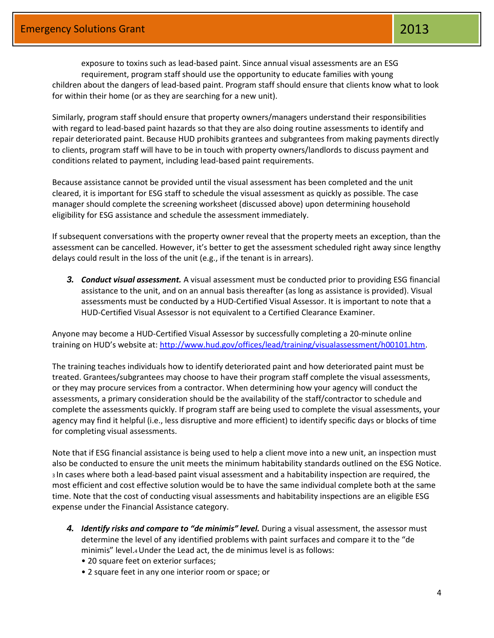exposure to toxins such as lead‐based paint. Since annual visual assessments are an ESG requirement, program staff should use the opportunity to educate families with young children about the dangers of lead‐based paint. Program staff should ensure that clients know what to look for within their home (or as they are searching for a new unit).

Similarly, program staff should ensure that property owners/managers understand their responsibilities with regard to lead‐based paint hazards so that they are also doing routine assessments to identify and repair deteriorated paint. Because HUD prohibits grantees and subgrantees from making payments directly to clients, program staff will have to be in touch with property owners/landlords to discuss payment and conditions related to payment, including lead‐based paint requirements.

Because assistance cannot be provided until the visual assessment has been completed and the unit cleared, it is important for ESG staff to schedule the visual assessment as quickly as possible. The case manager should complete the screening worksheet (discussed above) upon determining household eligibility for ESG assistance and schedule the assessment immediately.

If subsequent conversations with the property owner reveal that the property meets an exception, than the assessment can be cancelled. However, it's better to get the assessment scheduled right away since lengthy delays could result in the loss of the unit (e.g., if the tenant is in arrears).

*3. Conduct visual assessment.* A visual assessment must be conducted prior to providing ESG financial assistance to the unit, and on an annual basis thereafter (as long as assistance is provided). Visual assessments must be conducted by a HUD‐Certified Visual Assessor. It is important to note that a HUD‐Certified Visual Assessor is not equivalent to a Certified Clearance Examiner.

Anyone may become a HUD‐Certified Visual Assessor by successfully completing a 20‐minute online training on HUD's website at: [http://www.hud.gov/offices/lead/training/visualassessment/h00101.htm.](http://www.hud.gov/offices/lead/training/visualassessment/h00101.htm)

The training teaches individuals how to identify deteriorated paint and how deteriorated paint must be treated. Grantees/subgrantees may choose to have their program staff complete the visual assessments, or they may procure services from a contractor. When determining how your agency will conduct the assessments, a primary consideration should be the availability of the staff/contractor to schedule and complete the assessments quickly. If program staff are being used to complete the visual assessments, your agency may find it helpful (i.e., less disruptive and more efficient) to identify specific days or blocks of time for completing visual assessments.

Note that if ESG financial assistance is being used to help a client move into a new unit, an inspection must also be conducted to ensure the unit meets the minimum habitability standards outlined on the ESG Notice. <sup>3</sup>In cases where both a lead‐based paint visual assessment and a habitability inspection are required, the most efficient and cost effective solution would be to have the same individual complete both at the same time. Note that the cost of conducting visual assessments and habitability inspections are an eligible ESG expense under the Financial Assistance category.

- 4. *Identify risks and compare to "de minimis" level.* During a visual assessment, the assessor must determine the level of any identified problems with paint surfaces and compare it to the "de minimis" level.4 Under the Lead act, the de minimus level is as follows:
	- 20 square feet on exterior surfaces;
	- 2 square feet in any one interior room or space; or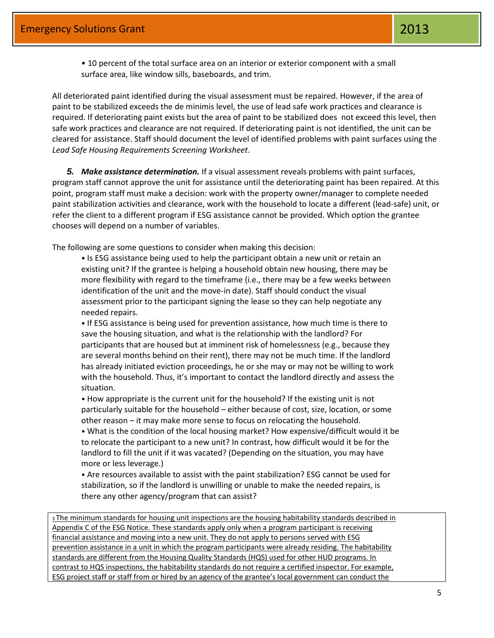• 10 percent of the total surface area on an interior or exterior component with a small surface area, like window sills, baseboards, and trim.

All deteriorated paint identified during the visual assessment must be repaired. However, if the area of paint to be stabilized exceeds the de minimis level, the use of lead safe work practices and clearance is required. If deteriorating paint exists but the area of paint to be stabilized does not exceed this level, then safe work practices and clearance are not required. If deteriorating paint is not identified, the unit can be cleared for assistance. Staff should document the level of identified problems with paint surfaces using the *Lead Safe Housing Requirements Screening Worksheet*.

*5. Make assistance determination.* If a visual assessment reveals problems with paint surfaces, program staff cannot approve the unit for assistance until the deteriorating paint has been repaired. At this point, program staff must make a decision: work with the property owner/manager to complete needed paint stabilization activities and clearance, work with the household to locate a different (lead‐safe) unit, or refer the client to a different program if ESG assistance cannot be provided. Which option the grantee chooses will depend on a number of variables.

The following are some questions to consider when making this decision:

• Is ESG assistance being used to help the participant obtain a new unit or retain an existing unit? If the grantee is helping a household obtain new housing, there may be more flexibility with regard to the timeframe (i.e., there may be a few weeks between identification of the unit and the move‐in date). Staff should conduct the visual assessment prior to the participant signing the lease so they can help negotiate any needed repairs.

• If ESG assistance is being used for prevention assistance, how much time is there to save the housing situation, and what is the relationship with the landlord? For participants that are housed but at imminent risk of homelessness (e.g., because they are several months behind on their rent), there may not be much time. If the landlord has already initiated eviction proceedings, he or she may or may not be willing to work with the household. Thus, it's important to contact the landlord directly and assess the situation.

• How appropriate is the current unit for the household? If the existing unit is not particularly suitable for the household – either because of cost, size, location, or some other reason – it may make more sense to focus on relocating the household.

• What is the condition of the local housing market? How expensive/difficult would it be to relocate the participant to a new unit? In contrast, how difficult would it be for the landlord to fill the unit if it was vacated? (Depending on the situation, you may have more or less leverage.)

• Are resources available to assist with the paint stabilization? ESG cannot be used for stabilization, so if the landlord is unwilling or unable to make the needed repairs, is there any other agency/program that can assist?

<sup>3</sup>The minimum standards for housing unit inspections are the housing habitability standards described in Appendix C of the ESG Notice. These standards apply only when a program participant is receiving financial assistance and moving into a new unit. They do not apply to persons served with ESG prevention assistance in a unit in which the program participants were already residing. The habitability standards are different from the Housing Quality Standards (HQS) used for other HUD programs. In contrast to HQS inspections, the habitability standards do not require a certified inspector. For example, ESG project staff or staff from or hired by an agency of the grantee's local government can conduct the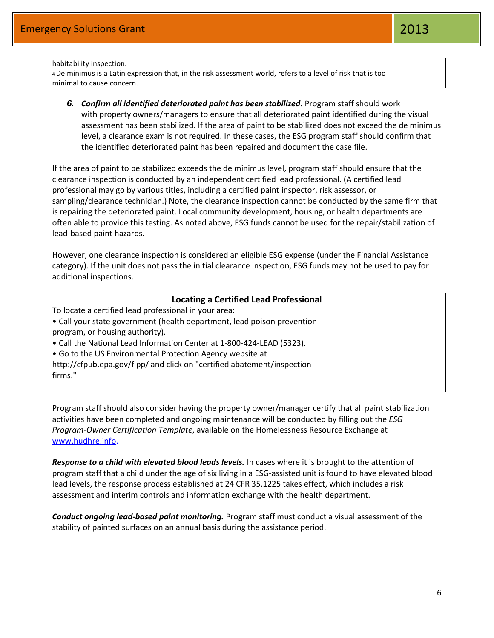#### habitability inspection.

<sup>4</sup>De minimus is a Latin expression that, in the risk assessment world, refers to a level of risk that is too minimal to cause concern.

*6. Confirm all identified deteriorated paint has been stabilized.* Program staff should work with property owners/managers to ensure that all deteriorated paint identified during the visual assessment has been stabilized. If the area of paint to be stabilized does not exceed the de minimus level, a clearance exam is not required. In these cases, the ESG program staff should confirm that the identified deteriorated paint has been repaired and document the case file.

If the area of paint to be stabilized exceeds the de minimus level, program staff should ensure that the clearance inspection is conducted by an independent certified lead professional. (A certified lead professional may go by various titles, including a certified paint inspector, risk assessor, or sampling/clearance technician.) Note, the clearance inspection cannot be conducted by the same firm that is repairing the deteriorated paint. Local community development, housing, or health departments are often able to provide this testing. As noted above, ESG funds cannot be used for the repair/stabilization of lead‐based paint hazards.

However, one clearance inspection is considered an eligible ESG expense (under the Financial Assistance category). If the unit does not pass the initial clearance inspection, ESG funds may not be used to pay for additional inspections.

#### **Locating a Certified Lead Professional**

To locate a certified lead professional in your area:

- Call your state government (health department, lead poison prevention program, or housing authority).
- Call the National Lead Information Center at 1‐800‐424‐LEAD (5323).
- Go to the US Environmental Protection Agency website at

http://cfpub.epa.gov/flpp/ and click on "certified abatement/inspection firms."

Program staff should also consider having the property owner/manager certify that all paint stabilization activities have been completed and ongoing maintenance will be conducted by filling out the *ESG Program‐Owner Certification Template*, available on the Homelessness Resource Exchange at [www.hudhre.info.](http://www.hudhre.info/)

*Response to a child with elevated blood leads levels.* In cases where it is brought to the attention of program staff that a child under the age of six living in a ESG‐assisted unit is found to have elevated blood lead levels, the response process established at 24 CFR 35.1225 takes effect, which includes a risk assessment and interim controls and information exchange with the health department.

*Conduct ongoing lead‐based paint monitoring.* Program staff must conduct a visual assessment of the stability of painted surfaces on an annual basis during the assistance period.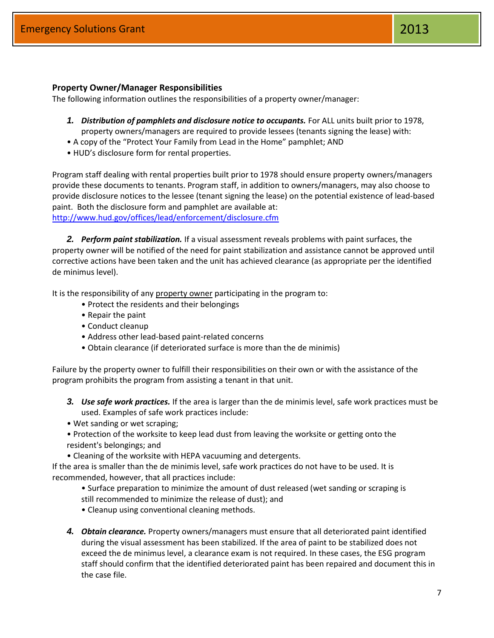#### **Property Owner/Manager Responsibilities**

The following information outlines the responsibilities of a property owner/manager:

- **1.** Distribution of pamphlets and disclosure notice to occupants. For ALL units built prior to 1978, property owners/managers are required to provide lessees (tenants signing the lease) with:
- A copy of the "Protect Your Family from Lead in the Home" pamphlet; AND
- HUD's disclosure form for rental properties.

Program staff dealing with rental properties built prior to 1978 should ensure property owners/managers provide these documents to tenants. Program staff, in addition to owners/managers, may also choose to provide disclosure notices to the lessee (tenant signing the lease) on the potential existence of lead‐based paint. Both the disclosure form and pamphlet are available at: <http://www.hud.gov/offices/lead/enforcement/disclosure.cfm>

*2. Perform paint stabilization.* If a visual assessment reveals problems with paint surfaces, the property owner will be notified of the need for paint stabilization and assistance cannot be approved until corrective actions have been taken and the unit has achieved clearance (as appropriate per the identified de minimus level).

It is the responsibility of any property owner participating in the program to:

- Protect the residents and their belongings
- Repair the paint
- Conduct cleanup
- Address other lead‐based paint‐related concerns
- Obtain clearance (if deteriorated surface is more than the de minimis)

Failure by the property owner to fulfill their responsibilities on their own or with the assistance of the program prohibits the program from assisting a tenant in that unit.

- *3. Use safe work practices.* If the area is larger than the de minimis level, safe work practices must be used. Examples of safe work practices include:
- Wet sanding or wet scraping;
- Protection of the worksite to keep lead dust from leaving the worksite or getting onto the resident's belongings; and
- Cleaning of the worksite with HEPA vacuuming and detergents.

If the area is smaller than the de minimis level, safe work practices do not have to be used. It is recommended, however, that all practices include:

- Surface preparation to minimize the amount of dust released (wet sanding or scraping is still recommended to minimize the release of dust); and
- Cleanup using conventional cleaning methods.
- *4. Obtain clearance.* Property owners/managers must ensure that all deteriorated paint identified during the visual assessment has been stabilized. If the area of paint to be stabilized does not exceed the de minimus level, a clearance exam is not required. In these cases, the ESG program staff should confirm that the identified deteriorated paint has been repaired and document this in the case file.